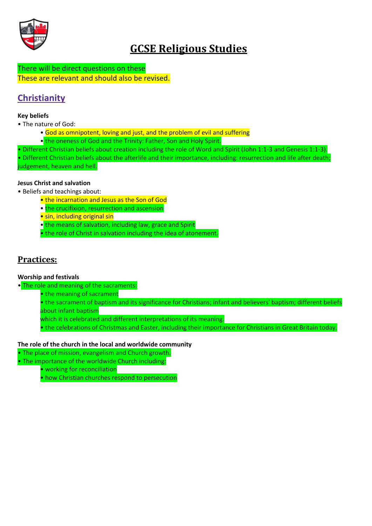

# **GCSE Religious Studies**

There will be direct questions on these These are relevant and should also be revised.

# **Christianity**

#### **Key beliefs**

- The nature of God:
	- God as omnipotent, loving and just, and the problem of evil and suffering
	- the oneness of God and the Trinity: Father, Son and Holy Spirit.
- Different Christian beliefs about creation including the role of Word and Spirit (John 1:1-3 and Genesis 1:1-3).

• Different Christian beliefs about the afterlife and their importance, including: resurrection and life after death; judgement, heaven and hell.

#### **Jesus Christ and salvation**

- Beliefs and teachings about:
	- the incarnation and Jesus as the Son of God
	- the crucifixion, resurrection and ascension
	- sin, including original sin
	- the means of salvation, including law, grace and Spirit
	- the role of Christ in salvation including the idea of atonement.

## **Practices:**

#### **Worship and festivals**

• The role and meaning of the sacraments:

• the meaning of sacrament

• the sacrament of baptism and its significance for Christians; infant and believers' baptism; different beliefs about infant baptism

which it is celebrated and different interpretations of its meaning.

• the celebrations of Christmas and Easter, including their importance for Christians in Great Britain today.

#### **The role of the church in the local and worldwide community**

- The place of mission, evangelism and Church growth.
- The importance of the worldwide Church including:
	- working for reconciliation
	- how Christian churches respond to persecution